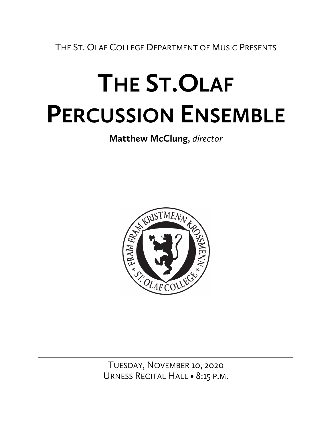THE ST. OLAF COLLEGE DEPARTMENT OF MUSIC PRESENTS

# **THE ST.OLAF PERCUSSION ENSEMBLE**

**Matthew McClung,** *director*



TUESDAY, NOVEMBER 10, 2020 URNESS RECITAL HALL • 8:15 P.M.